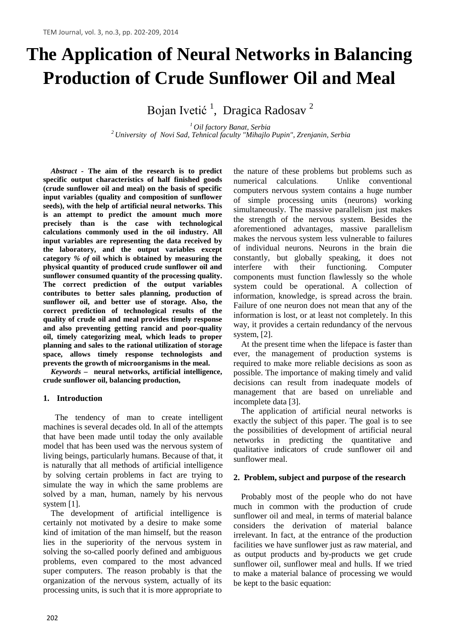# **The Application of Neural Networks in Balancing Production of Crude Sunflower Oil and Meal**

Bojan Ivetić<sup>1</sup>, Dragica Radosav<sup>2</sup>

*<sup>1</sup> Oil factory Banat, Serbia <sup>2</sup> University of Novi Sad, Tehnical faculty "Mihajlo Pupin", Zrenjanin, Serbia*

*Abstract -* **The aim of the research is to predict specific output characteristics of half finished goods (crude sunflower oil and meal) on the basis of specific input variables (quality and composition of sunflower seeds), with the help of artificial neural networks. This is an attempt to predict the amount much more precisely than is the case with technological calculations commonly used in the oil industry. All input variables are representing the data received by the laboratory, and the output variables except category** *% of* **oil which is obtained by measuring the physical quantity of produced crude sunflower oil and sunflower consumed quantity of the processing quality. The correct prediction of the output variables contributes to better sales planning, production of sunflower oil, and better use of storage. Also, the correct prediction of technological results of the quality of crude oil and meal provides timely response and also preventing getting rancid and poor-quality oil, timely categorizing meal, which leads to proper planning and sales to the rational utilization of storage space, allows timely response technologists and prevents the growth of microorganisms in the meal.**

*Keywords –* **neural networks, artificial intelligence, crude sunflower oil, balancing production,**

## **1. Introduction**

The tendency of man to create intelligent machines is several decades old. In all of the attempts that have been made until today the only available model that has been used was the nervous system of living beings, particularly humans. Because of that, it is naturally that all methods of artificial intelligence by solving certain problems in fact are trying to simulate the way in which the same problems are solved by a man, human, namely by his nervous system [1].

The development of artificial intelligence is certainly not motivated by a desire to make some kind of imitation of the man himself, but the reason lies in the superiority of the nervous system in solving the so-called poorly defined and ambiguous problems, even compared to the most advanced super computers. The reason probably is that the organization of the nervous system, actually of its processing units, is such that it is more appropriate to

the nature of these problems but problems such as numerical calculations. Unlike conventional computers nervous system contains a huge number of simple processing units (neurons) working simultaneously. The massive parallelism just makes the strength of the nervous system. Besides the aforementioned advantages, massive parallelism makes the nervous system less vulnerable to failures of individual neurons. Neurons in the brain die constantly, but globally speaking, it does not interfere with their functioning. Computer components must function flawlessly so the whole system could be operational. A collection of information, knowledge, is spread across the brain. Failure of one neuron does not mean that any of the information is lost, or at least not completely. In this way, it provides a certain redundancy of the nervous system, [2].

At the present time when the lifepace is faster than ever, the management of production systems is required to make more reliable decisions as soon as possible. The importance of making timely and valid decisions can result from inadequate models of management that are based on unreliable and incomplete data [3].

The application of artificial neural networks is exactly the subject of this paper. The goal is to see the possibilities of development of artificial neural networks in predicting the quantitative and qualitative indicators of crude sunflower oil and sunflower meal.

#### **2. Problem, subject and purpose of the research**

Probably most of the people who do not have much in common with the production of crude sunflower oil and meal, in terms of material balance considers the derivation of material balance irrelevant. In fact, at the entrance of the production facilities we have sunflower just as raw material, and as output products and by-products we get crude sunflower oil, sunflower meal and hulls. If we tried to make a material balance of processing we would be kept to the basic equation: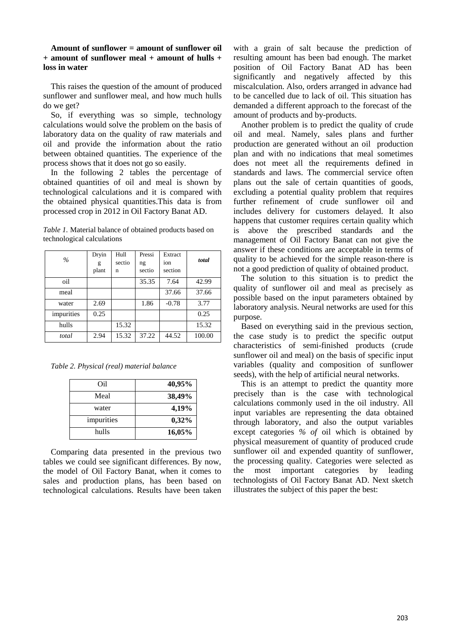#### **Amount of sunflower = amount of sunflower oil + amount of sunflower meal + amount of hulls + loss in water**

This raises the question of the amount of produced sunflower and sunflower meal, and how much hulls do we get?

So, if everything was so simple, technology calculations would solve the problem on the basis of laboratory data on the quality of raw materials and oil and provide the information about the ratio between obtained quantities. The experience of the process shows that it does not go so easily.

In the following 2 tables the percentage of obtained quantities of oil and meal is shown by technological calculations and it is compared with the obtained physical quantities.This data is from processed crop in 2012 in Oil Factory Banat AD.

*Table 1.* Material balance of obtained products based on technological calculations

| $\%$       | Dryin<br>g | Hull<br>sectio | Pressi<br>ng | Extract<br>ion | total  |
|------------|------------|----------------|--------------|----------------|--------|
|            | plant      | n              | sectio       | section        |        |
| oil        |            |                | 35.35        | 7.64           | 42.99  |
| meal       |            |                |              | 37.66          | 37.66  |
| water      | 2.69       |                | 1.86         | $-0.78$        | 3.77   |
| impurities | 0.25       |                |              |                | 0.25   |
| hulls      |            | 15.32          |              |                | 15.32  |
| total      | 2.94       | 15.32          | 37.22        | 44.52          | 100.00 |

*Table 2. Physical (real) material balance*

| Oil        | 40,95% |
|------------|--------|
| Meal       | 38,49% |
| water      | 4,19%  |
| impurities | 0,32%  |
| hulls      | 16,05% |

Comparing data presented in the previous two tables we could see significant differences. By now, the model of Oil Factory Banat, when it comes to sales and production plans, has been based on technological calculations. Results have been taken with a grain of salt because the prediction of resulting amount has been bad enough. The market position of Oil Factory Banat AD has been significantly and negatively affected by this miscalculation. Also, orders arranged in advance had to be cancelled due to lack of oil. This situation has demanded a different approach to the forecast of the amount of products and by-products.

Another problem is to predict the quality of crude oil and meal. Namely, sales plans and further production are generated without an oil production plan and with no indications that meal sometimes does not meet all the requirements defined in standards and laws. The commercial service often plans out the sale of certain quantities of goods, excluding a potential quality problem that requires further refinement of crude sunflower oil and includes delivery for customers delayed. It also happens that customer requires certain quality which is above the prescribed standards and the management of Oil Factory Banat can not give the answer if these conditions are acceptable in terms of quality to be achieved for the simple reason-there is not a good prediction of quality of obtained product.

The solution to this situation is to predict the quality of sunflower oil and meal as precisely as possible based on the input parameters obtained by laboratory analysis. Neural networks are used for this purpose.

Based on everything said in the previous section, the case study is to predict the specific output characteristics of semi-finished products (crude sunflower oil and meal) on the basis of specific input variables (quality and composition of sunflower seeds), with the help of artificial neural networks.

This is an attempt to predict the quantity more precisely than is the case with technological calculations commonly used in the oil industry. All input variables are representing the data obtained through laboratory, and also the output variables except categories *% of* oil which is obtained by physical measurement of quantity of produced crude sunflower oil and expended quantity of sunflower, the processing quality. Categories were selected as the most important categories by leading technologists of Oil Factory Banat AD. Next sketch illustrates the subject of this paper the best: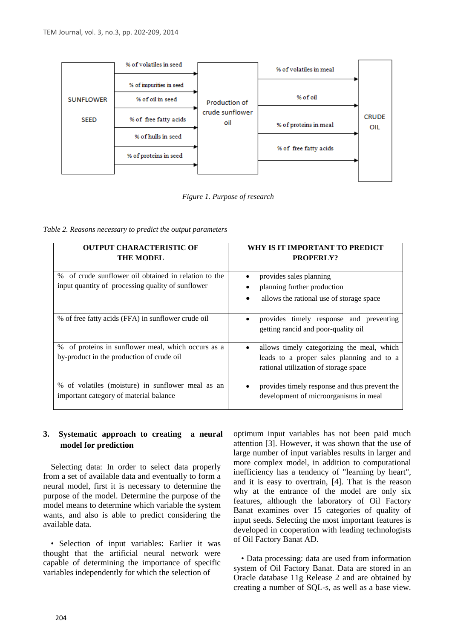

*Figure 1. Purpose of research*

*Table 2. Reasons necessary to predict the output parameters*

| <b>OUTPUT CHARACTERISTIC OF</b><br><b>THE MODEL</b>                                                       | WHY IS IT IMPORTANT TO PREDICT<br><b>PROPERLY?</b>                                                                                            |
|-----------------------------------------------------------------------------------------------------------|-----------------------------------------------------------------------------------------------------------------------------------------------|
| % of crude sunflower oil obtained in relation to the<br>input quantity of processing quality of sunflower | provides sales planning<br>$\bullet$<br>planning further production<br>$\bullet$<br>allows the rational use of storage space                  |
| % of free fatty acids (FFA) in sunflower crude oil                                                        | provides timely response and preventing<br>getting rancid and poor-quality oil                                                                |
| % of proteins in sunflower meal, which occurs as a<br>by-product in the production of crude oil           | allows timely categorizing the meal, which<br>$\bullet$<br>leads to a proper sales planning and to a<br>rational utilization of storage space |
| % of volatiles (moisture) in sunflower meal as an<br>important category of material balance               | provides timely response and thus prevent the<br>$\bullet$<br>development of microorganisms in meal                                           |

# **3. Systematic approach to creating a neural model for prediction**

Selecting data: In order to select data properly from a set of available data and eventually to form a neural model, first it is necessary to determine the purpose of the model. Determine the purpose of the model means to determine which variable the system wants, and also is able to predict considering the available data.

• Selection of input variables: Earlier it was thought that the artificial neural network were capable of determining the importance of specific variables independently for which the selection of

optimum input variables has not been paid much attention [3]. However, it was shown that the use of large number of input variables results in larger and more complex model, in addition to computational inefficiency has a tendency of "learning by heart", and it is easy to overtrain, [4]. That is the reason why at the entrance of the model are only six features, although the laboratory of Oil Factory Banat examines over 15 categories of quality of input seeds. Selecting the most important features is developed in cooperation with leading technologists of Oil Factory Banat AD.

• Data processing: data are used from information system of Oil Factory Banat. Data are stored in an Oracle database 11g Release 2 and are obtained by creating a number of SQL-s, as well as a base view.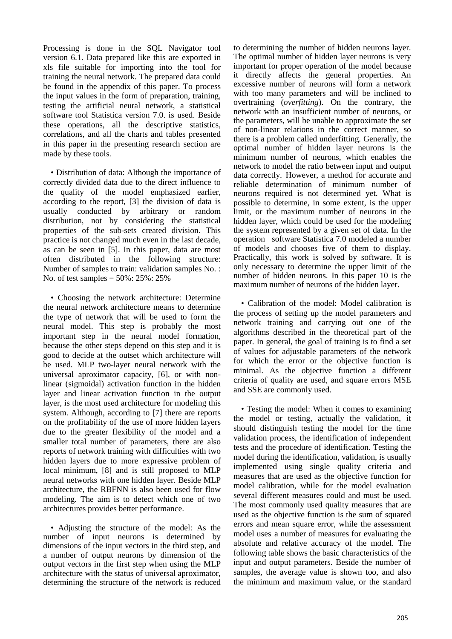Processing is done in the SQL Navigator tool version 6.1. Data prepared like this are exported in xls file suitable for importing into the tool for training the neural network. The prepared data could be found in the appendix of this paper. To process the input values in the form of preparation, training, testing the artificial neural network, a statistical software tool Statistica version 7.0. is used. Beside these operations, all the descriptive statistics, correlations, and all the charts and tables presented in this paper in the presenting research section are made by these tools.

• Distribution of data: Although the importance of correctly divided data due to the direct influence to the quality of the model emphasized earlier, according to the report, [3] the division of data is usually conducted by arbitrary or random distribution, not by considering the statistical properties of the sub-sets created division. This practice is not changed much even in the last decade, as can be seen in [5]. In this paper, data are most often distributed in the following structure: Number of samples to train: validation samples No. : No. of test samples = 50%: 25%: 25%

• Choosing the network architecture: Determine the neural network architecture means to determine the type of network that will be used to form the neural model. This step is probably the most important step in the neural model formation, because the other steps depend on this step and it is good to decide at the outset which architecture will be used. MLP two-layer neural network with the universal aproximator capacity, [6], or with nonlinear (sigmoidal) activation function in the hidden layer and linear activation function in the output layer, is the most used architecture for modeling this system. Although, according to [7] there are reports on the profitability of the use of more hidden layers due to the greater flexibility of the model and a smaller total number of parameters, there are also reports of network training with difficulties with two hidden layers due to more expressive problem of local minimum, [8] and is still proposed to MLP neural networks with one hidden layer. Beside MLP architecture, the RBFNN is also been used for flow modeling. The aim is to detect which one of two architectures provides better performance.

• Adjusting the structure of the model: As the number of input neurons is determined by dimensions of the input vectors in the third step, and a number of output neurons by dimension of the output vectors in the first step when using the MLP architecture with the status of universal aproximator, determining the structure of the network is reduced

to determining the number of hidden neurons layer. The optimal number of hidden layer neurons is very important for proper operation of the model because it directly affects the general properties. An excessive number of neurons will form a network with too many parameters and will be inclined to overtraining (*overfitting*). On the contrary, the network with an insufficient number of neurons, or the parameters, will be unable to approximate the set of non-linear relations in the correct manner, so there is a problem called underfitting. Generally, the optimal number of hidden layer neurons is the minimum number of neurons, which enables the network to model the ratio between input and output data correctly. However, a method for accurate and reliable determination of minimum number of neurons required is not determined yet. What is possible to determine, in some extent, is the upper limit, or the maximum number of neurons in the hidden layer, which could be used for the modeling the system represented by a given set of data. In the operation software Statistica 7.0 modeled a number of models and chooses five of them to display. Practically, this work is solved by software. It is only necessary to determine the upper limit of the number of hidden neurons. In this paper 10 is the maximum number of neurons of the hidden layer.

• Calibration of the model: Model calibration is the process of setting up the model parameters and network training and carrying out one of the algorithms described in the theoretical part of the paper. In general, the goal of training is to find a set of values for adjustable parameters of the network for which the error or the objective function is minimal. As the objective function a different criteria of quality are used, and square errors MSE and SSE are commonly used.

• Testing the model: When it comes to examining the model or testing, actually the validation, it should distinguish testing the model for the time validation process, the identification of independent tests and the procedure of identification. Testing the model during the identification, validation, is usually implemented using single quality criteria and measures that are used as the objective function for model calibration, while for the model evaluation several different measures could and must be used. The most commonly used quality measures that are used as the objective function is the sum of squared errors and mean square error, while the assessment model uses a number of measures for evaluating the absolute and relative accuracy of the model. The following table shows the basic characteristics of the input and output parameters. Beside the number of samples, the average value is shown too, and also the minimum and maximum value, or the standard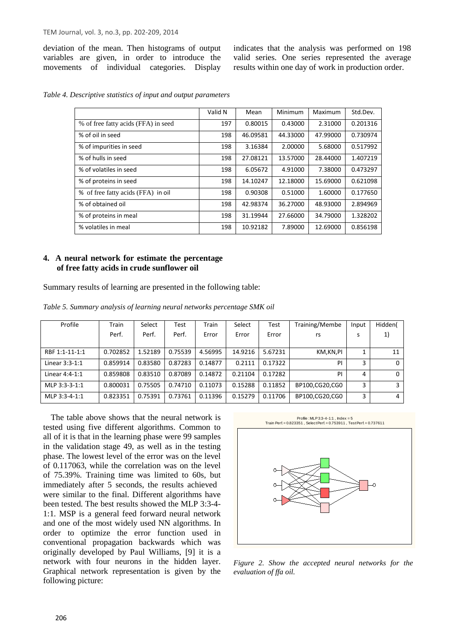deviation of the mean. Then histograms of output variables are given, in order to introduce the movements of individual categories. Display indicates that the analysis was performed on 198 valid series. One series represented the average results within one day of work in production order.

*Table 4. Descriptive statistics of input and output parameters*

|                                     | Valid N | Mean     | Minimum  | Maximum  | Std.Dev. |
|-------------------------------------|---------|----------|----------|----------|----------|
| % of free fatty acids (FFA) in seed | 197     | 0.80015  | 0.43000  | 2.31000  | 0.201316 |
| % of oil in seed                    | 198     | 46.09581 | 44.33000 | 47.99000 | 0.730974 |
| % of impurities in seed             | 198     | 3.16384  | 2.00000  | 5.68000  | 0.517992 |
| % of hulls in seed                  | 198     | 27.08121 | 13.57000 | 28.44000 | 1.407219 |
| % of volatiles in seed              | 198     | 6.05672  | 4.91000  | 7.38000  | 0.473297 |
| % of proteins in seed               | 198     | 14.10247 | 12.18000 | 15.69000 | 0.621098 |
| % of free fatty acids (FFA) in oil  | 198     | 0.90308  | 0.51000  | 1.60000  | 0.177650 |
| % of obtained oil                   | 198     | 42.98374 | 36.27000 | 48.93000 | 2.894969 |
| % of proteins in meal               | 198     | 31.19944 | 27.66000 | 34.79000 | 1.328202 |
| % volatiles in meal                 | 198     | 10.92182 | 7.89000  | 12.69000 | 0.856198 |

## **4. A neural network for estimate the percentage of free fatty acids in crude sunflower oil**

Summary results of learning are presented in the following table:

| Table 5. Summary analysis of learning neural networks percentage SMK oil |  |  |  |  |  |  |  |
|--------------------------------------------------------------------------|--|--|--|--|--|--|--|
|--------------------------------------------------------------------------|--|--|--|--|--|--|--|

| Profile        | Train    | Select  | Test    | Train   | Select  | Test    | Training/Membe | Input | Hidden(  |
|----------------|----------|---------|---------|---------|---------|---------|----------------|-------|----------|
|                | Perf.    | Perf.   | Perf.   | Error   | Error   | Error   | rs             | s     | 1)       |
|                |          |         |         |         |         |         |                |       |          |
| RBF 1:1-11-1:1 | 0.702852 | 1.52189 | 0.75539 | 4.56995 | 14.9216 | 5.67231 | KM,KN,PI       |       | 11       |
| Linear 3:3-1:1 | 0.859914 | 0.83580 | 0.87283 | 0.14877 | 0.2111  | 0.17322 | PI             | 3     | 0        |
| Linear 4:4-1:1 | 0.859808 | 0.83510 | 0.87089 | 0.14872 | 0.21104 | 0.17282 | PI             | 4     | $\Omega$ |
| MLP 3:3-3-1:1  | 0.800031 | 0.75505 | 0.74710 | 0.11073 | 0.15288 | 0.11852 | BP100,CG20,CG0 | 3     |          |
| MLP 3:3-4-1:1  | 0.823351 | 0.75391 | 0.73761 | 0.11396 | 0.15279 | 0.11706 | BP100,CG20,CG0 | 3     | 4        |

The table above shows that the neural network is tested using five different algorithms. Common to all of it is that in the learning phase were 99 samples in the validation stage 49, as well as in the testing phase. The lowest level of the error was on the level of 0.117063, while the correlation was on the level of 75.39%. Training time was limited to 60s, but immediately after 5 seconds, the results achieved were similar to the final. Different algorithms have been tested. The best results showed the MLP 3:3-4- 1:1. MSP is a general feed forward neural network and one of the most widely used NN algorithms. In order to optimize the error function used in conventional propagation backwards which was originally developed by Paul Williams, [9] it is a network with four neurons in the hidden layer. Graphical network representation is given by the following picture:



*Figure 2. Show the accepted neural networks for the evaluation of ffa oil.*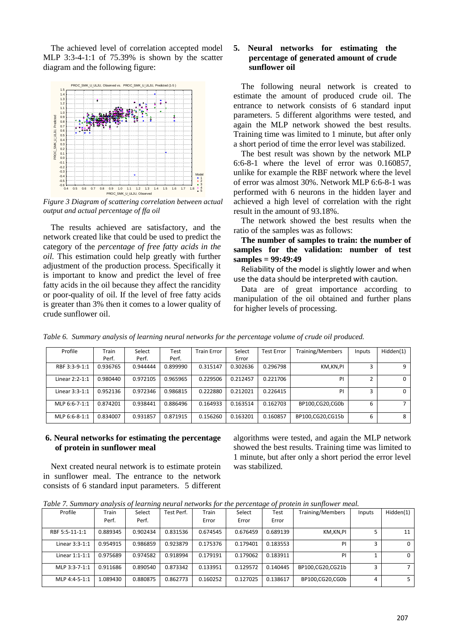The achieved level of correlation accepted model MLP 3:3-4-1:1 of 75.39% is shown by the scatter diagram and the following figure:



*Figure 3 Diagram of scattering correlation between actual output and actual percentage of ffa oil*

The results achieved are satisfactory, and the network created like that could be used to predict the category of the *percentage of free fatty acids in the oil.* This estimation could help greatly with further adjustment of the production process. Specifically it is important to know and predict the level of free fatty acids in the oil because they affect the rancidity or poor-quality of oil. If the level of free fatty acids is greater than 3% then it comes to a lower quality of crude sunflower oil.

## **5. Neural networks for estimating the percentage of generated amount of crude sunflower oil**

The following neural network is created to estimate the amount of produced crude oil. The entrance to network consists of 6 standard input parameters. 5 different algorithms were tested, and again the MLP network showed the best results. Training time was limited to 1 minute, but after only a short period of time the error level was stabilized.

The best result was shown by the network MLP 6:6-8-1 where the level of error was 0.160857, unlike for example the RBF network where the level of error was almost 30%. Network MLP 6:6-8-1 was performed with 6 neurons in the hidden layer and achieved a high level of correlation with the right result in the amount of 93.18%.

The network showed the best results when the ratio of the samples was as follows:

**The number of samples to train: the number of samples for the validation: number of test samples = 99:49:49**

Reliability of the model is slightly lower and when use the data should be interpreted with caution.

Data are of great importance according to manipulation of the oil obtained and further plans for higher levels of processing.

| Profile        | Train    | Select   | Test     | <b>Train Error</b> | Select   | Test Error | <b>Training/Members</b> | Inputs | Hidden(1) |
|----------------|----------|----------|----------|--------------------|----------|------------|-------------------------|--------|-----------|
|                | Perf.    | Perf.    | Perf.    |                    | Error    |            |                         |        |           |
| RBF 3:3-9-1:1  | 0.936765 | 0.944444 | 0.899990 | 0.315147           | 0.302636 | 0.296798   | KM,KN,PI                |        |           |
| Linear 2:2-1:1 | 0.980440 | 0.972105 | 0.965965 | 0.229506           | 0.212457 | 0.221706   | PI                      |        | 0         |
| Linear 3:3-1:1 | 0.952136 | 0.972346 | 0.986815 | 0.222880           | 0.212021 | 0.226415   | PI                      |        | 0         |
| MLP 6:6-7-1:1  | 0.874201 | 0.938441 | 0.886496 | 0.164933           | 0.163514 | 0.162703   | BP100.CG20.CG0b         | 6      |           |
| MLP 6:6-8-1:1  | 0.834007 | 0.931857 | 0.871915 | 0.156260           | 0.163201 | 0.160857   | BP100,CG20,CG15b        |        | 8         |

*Table 6. Summary analysis of learning neural networks for the percentage volume of crude oil produced.*

#### **6. Neural networks for estimating the percentage of protein in sunflower meal**

Next created neural network is to estimate protein in sunflower meal. The entrance to the network consists of 6 standard input parameters. 5 different algorithms were tested, and again the MLP network showed the best results. Training time was limited to 1 minute, but after only a short period the error level was stabilized.

|  |  |  |  | Table 7. Summary analysis of learning neural networks for the percentage of protein in sunflower meal. |  |  |  |  |  |
|--|--|--|--|--------------------------------------------------------------------------------------------------------|--|--|--|--|--|
|--|--|--|--|--------------------------------------------------------------------------------------------------------|--|--|--|--|--|

| Profile        | Train    | Select   | Test Perf. | Train    | Select   | Test     | Training/Members | Inputs | Hidden(1) |
|----------------|----------|----------|------------|----------|----------|----------|------------------|--------|-----------|
|                | Perf.    | Perf.    |            | Error    | Error    | Error    |                  |        |           |
| RBF 5:5-11-1:1 | 0.889345 | 0.902434 | 0.831536   | 0.674545 | 0.676459 | 0.689139 | KM,KN,PI         |        | 11        |
| Linear 3:3-1:1 | 0.954915 | 0.986859 | 0.923879   | 0.175376 | 0.179401 | 0.183553 | PI               |        | $\Omega$  |
| Linear 1:1-1:1 | 0.975689 | 0.974582 | 0.918994   | 0.179191 | 0.179062 | 0.183911 | PI               |        | $\Omega$  |
| MLP 3:3-7-1:1  | 0.911686 | 0.890540 | 0.873342   | 0.133951 | 0.129572 | 0.140445 | BP100.CG20.CG21b | ∍      |           |
| MLP 4:4-5-1:1  | 1.089430 | 0.880875 | 0.862773   | 0.160252 | 0.127025 | 0.138617 | BP100.CG20.CG0b  | Δ      |           |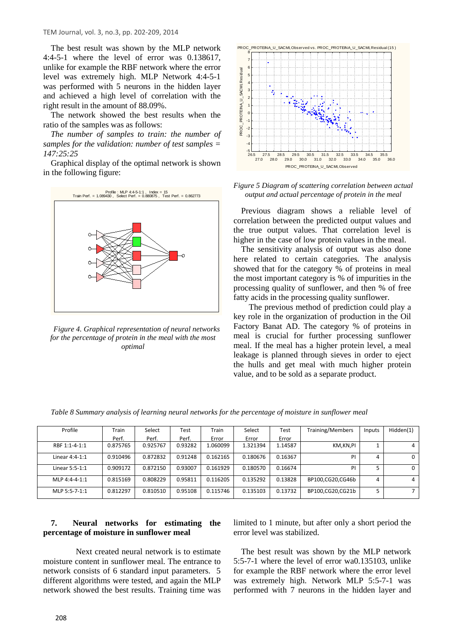TEM Journal, vol. 3, no.3, pp. 202-209, 2014

The best result was shown by the MLP network 4:4-5-1 where the level of error was 0.138617, unlike for example the RBF network where the error level was extremely high. MLP Network 4:4-5-1 was performed with 5 neurons in the hidden layer and achieved a high level of correlation with the right result in the amount of 88.09%.

The network showed the best results when the ratio of the samples was as follows:

*The number of samples to train: the number of samples for the validation: number of test samples = 147:25:25*

Graphical display of the optimal network is shown in the following figure:



*Figure 4. Graphical representation of neural networks for the percentage of protein in the meal with the most optimal*



*Figure 5 Diagram of scattering correlation between actual output and actual percentage of protein in the meal*

Previous diagram shows a reliable level of correlation between the predicted output values and the true output values. That correlation level is higher in the case of low protein values in the meal.

The sensitivity analysis of output was also done here related to certain categories. The analysis showed that for the category % of proteins in meal the most important category is % of impurities in the processing quality of sunflower, and then % of free fatty acids in the processing quality sunflower.

 The previous method of prediction could play a key role in the organization of production in the Oil Factory Banat AD. The category % of proteins in meal is crucial for further processing sunflower meal. If the meal has a higher protein level, a meal leakage is planned through sieves in order to eject the hulls and get meal with much higher protein value, and to be sold as a separate product.

| Profile        | Train    | Select   | Test    | Train    | Select   | Test    | Training/Members | Inputs | Hidden(1) |
|----------------|----------|----------|---------|----------|----------|---------|------------------|--------|-----------|
|                | Perf.    | Perf.    | Perf.   | Error    | Error    | Error   |                  |        |           |
| RBF 1:1-4-1:1  | 0.875765 | 0.925767 | 0.93282 | 1.060099 | 1.321394 | 1.14587 | KM,KN,PI         |        |           |
| Linear 4:4-1:1 | 0.910496 | 0.872832 | 0.91248 | 0.162165 | 0.180676 | 0.16367 | PI               | 4      |           |
| Linear 5:5-1:1 | 0.909172 | 0.872150 | 0.93007 | 0.161929 | 0.180570 | 0.16674 | PI               |        | 0         |
| MLP 4:4-4-1:1  | 0.815169 | 0.808229 | 0.95811 | 0.116205 | 0.135292 | 0.13828 | BP100.CG20.CG46b | 4      | 4         |
| MLP 5:5-7-1:1  | 0.812297 | 0.810510 | 0.95108 | 0.115746 | 0.135103 | 0.13732 | BP100,CG20,CG21b |        |           |

*Table 8 Summary analysis of learning neural networks for the percentage of moisture in sunflower meal*

# **7. Neural networks for estimating the percentage of moisture in sunflower meal**

 Next created neural network is to estimate moisture content in sunflower meal. The entrance to network consists of 6 standard input parameters. 5 different algorithms were tested, and again the MLP network showed the best results. Training time was

limited to 1 minute, but after only a short period the error level was stabilized.

The best result was shown by the MLP network 5:5-7-1 where the level of error wa0.135103, unlike for example the RBF network where the error level was extremely high. Network MLP 5:5-7-1 was performed with 7 neurons in the hidden layer and